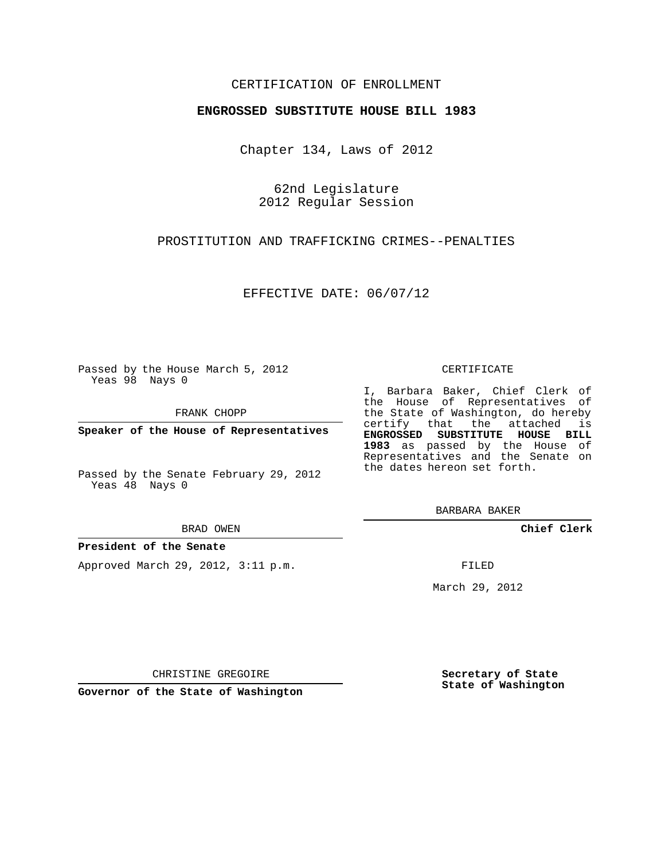# CERTIFICATION OF ENROLLMENT

## **ENGROSSED SUBSTITUTE HOUSE BILL 1983**

Chapter 134, Laws of 2012

62nd Legislature 2012 Regular Session

PROSTITUTION AND TRAFFICKING CRIMES--PENALTIES

EFFECTIVE DATE: 06/07/12

Passed by the House March 5, 2012 Yeas 98 Nays 0

FRANK CHOPP

**Speaker of the House of Representatives**

Passed by the Senate February 29, 2012 Yeas 48 Nays 0

#### BRAD OWEN

## **President of the Senate**

Approved March 29, 2012, 3:11 p.m.

#### CERTIFICATE

I, Barbara Baker, Chief Clerk of the House of Representatives of the State of Washington, do hereby certify that the attached is **ENGROSSED SUBSTITUTE HOUSE BILL 1983** as passed by the House of Representatives and the Senate on the dates hereon set forth.

BARBARA BAKER

**Chief Clerk**

FILED

March 29, 2012

**Secretary of State State of Washington**

CHRISTINE GREGOIRE

**Governor of the State of Washington**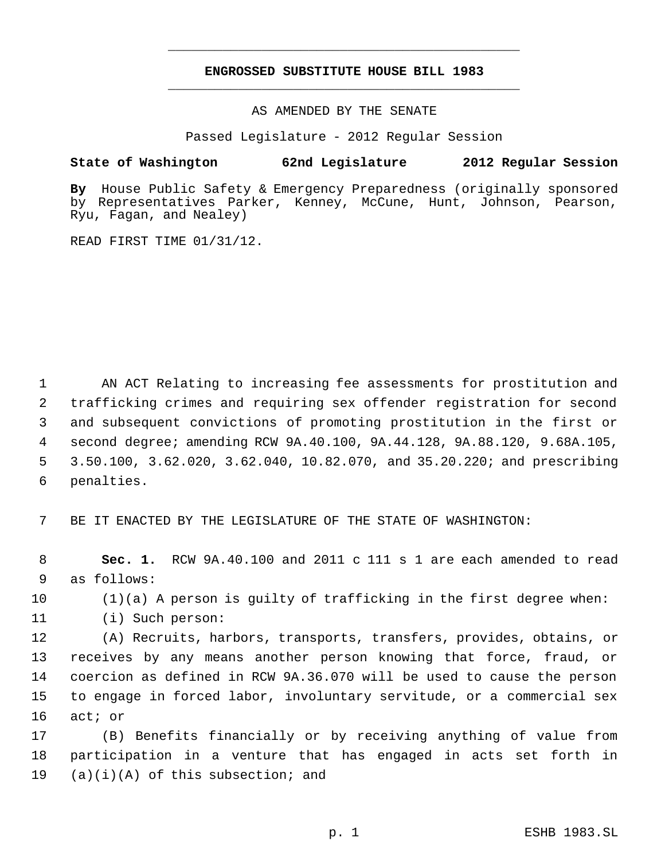# **ENGROSSED SUBSTITUTE HOUSE BILL 1983** \_\_\_\_\_\_\_\_\_\_\_\_\_\_\_\_\_\_\_\_\_\_\_\_\_\_\_\_\_\_\_\_\_\_\_\_\_\_\_\_\_\_\_\_\_

\_\_\_\_\_\_\_\_\_\_\_\_\_\_\_\_\_\_\_\_\_\_\_\_\_\_\_\_\_\_\_\_\_\_\_\_\_\_\_\_\_\_\_\_\_

AS AMENDED BY THE SENATE

Passed Legislature - 2012 Regular Session

## **State of Washington 62nd Legislature 2012 Regular Session**

**By** House Public Safety & Emergency Preparedness (originally sponsored by Representatives Parker, Kenney, McCune, Hunt, Johnson, Pearson, Ryu, Fagan, and Nealey)

READ FIRST TIME 01/31/12.

 AN ACT Relating to increasing fee assessments for prostitution and trafficking crimes and requiring sex offender registration for second and subsequent convictions of promoting prostitution in the first or second degree; amending RCW 9A.40.100, 9A.44.128, 9A.88.120, 9.68A.105, 3.50.100, 3.62.020, 3.62.040, 10.82.070, and 35.20.220; and prescribing penalties.

7 BE IT ENACTED BY THE LEGISLATURE OF THE STATE OF WASHINGTON:

 8 **Sec. 1.** RCW 9A.40.100 and 2011 c 111 s 1 are each amended to read 9 as follows:

10 (1)(a) A person is guilty of trafficking in the first degree when:

11 (i) Such person:

 (A) Recruits, harbors, transports, transfers, provides, obtains, or receives by any means another person knowing that force, fraud, or coercion as defined in RCW 9A.36.070 will be used to cause the person to engage in forced labor, involuntary servitude, or a commercial sex 16 act; or

17 (B) Benefits financially or by receiving anything of value from 18 participation in a venture that has engaged in acts set forth in 19  $(a)(i)(A)$  of this subsection; and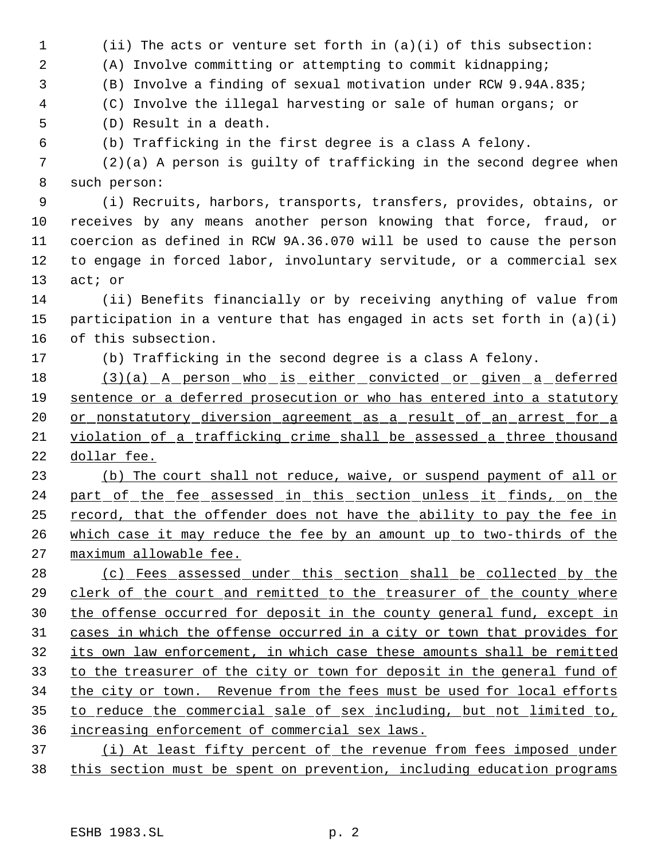(ii) The acts or venture set forth in (a)(i) of this subsection: (A) Involve committing or attempting to commit kidnapping; (B) Involve a finding of sexual motivation under RCW 9.94A.835; (C) Involve the illegal harvesting or sale of human organs; or (D) Result in a death. (b) Trafficking in the first degree is a class A felony. (2)(a) A person is guilty of trafficking in the second degree when such person: (i) Recruits, harbors, transports, transfers, provides, obtains, or receives by any means another person knowing that force, fraud, or coercion as defined in RCW 9A.36.070 will be used to cause the person to engage in forced labor, involuntary servitude, or a commercial sex act; or (ii) Benefits financially or by receiving anything of value from participation in a venture that has engaged in acts set forth in (a)(i) of this subsection. (b) Trafficking in the second degree is a class A felony. 18 (3)(a) A person who is either convicted or given a deferred sentence or a deferred prosecution or who has entered into a statutory 20 or nonstatutory diversion agreement as a result of an arrest for a violation of a trafficking crime shall be assessed a three thousand dollar fee. (b) The court shall not reduce, waive, or suspend payment of all or 24 part of the fee assessed in this section unless it finds, on the record, that the offender does not have the ability to pay the fee in which case it may reduce the fee by an amount up to two-thirds of the maximum allowable fee. (c) Fees assessed under this section shall be collected by the clerk of the court and remitted to the treasurer of the county where the offense occurred for deposit in the county general fund, except in cases in which the offense occurred in a city or town that provides for its own law enforcement, in which case these amounts shall be remitted to the treasurer of the city or town for deposit in the general fund of the city or town. Revenue from the fees must be used for local efforts to reduce the commercial sale of sex including, but not limited to, increasing enforcement of commercial sex laws. 37 (i) At least fifty percent of the revenue from fees imposed under

this section must be spent on prevention, including education programs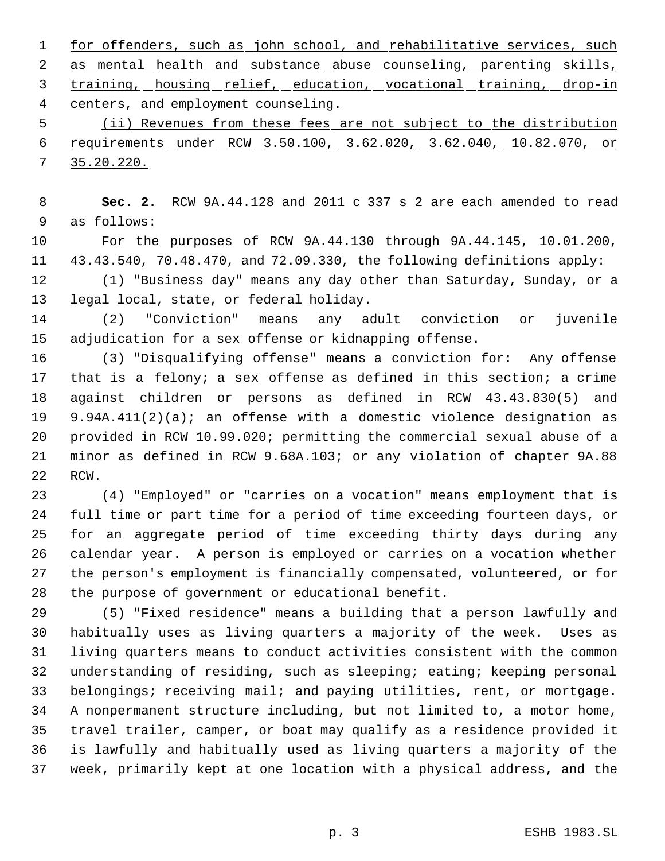1 for offenders, such as john school, and rehabilitative services, such as mental health and substance abuse counseling, parenting skills, training, housing relief, education, vocational training, drop-in 4 centers, and employment counseling.

 (ii) Revenues from these fees are not subject to the distribution requirements under RCW 3.50.100, 3.62.020, 3.62.040, 10.82.070, or 35.20.220.

 **Sec. 2.** RCW 9A.44.128 and 2011 c 337 s 2 are each amended to read as follows:

 For the purposes of RCW 9A.44.130 through 9A.44.145, 10.01.200, 43.43.540, 70.48.470, and 72.09.330, the following definitions apply:

 (1) "Business day" means any day other than Saturday, Sunday, or a legal local, state, or federal holiday.

 (2) "Conviction" means any adult conviction or juvenile adjudication for a sex offense or kidnapping offense.

 (3) "Disqualifying offense" means a conviction for: Any offense 17 that is a felony; a sex offense as defined in this section; a crime against children or persons as defined in RCW 43.43.830(5) and 9.94A.411(2)(a); an offense with a domestic violence designation as provided in RCW 10.99.020; permitting the commercial sexual abuse of a minor as defined in RCW 9.68A.103; or any violation of chapter 9A.88 RCW.

 (4) "Employed" or "carries on a vocation" means employment that is full time or part time for a period of time exceeding fourteen days, or for an aggregate period of time exceeding thirty days during any calendar year. A person is employed or carries on a vocation whether the person's employment is financially compensated, volunteered, or for the purpose of government or educational benefit.

 (5) "Fixed residence" means a building that a person lawfully and habitually uses as living quarters a majority of the week. Uses as living quarters means to conduct activities consistent with the common understanding of residing, such as sleeping; eating; keeping personal belongings; receiving mail; and paying utilities, rent, or mortgage. A nonpermanent structure including, but not limited to, a motor home, travel trailer, camper, or boat may qualify as a residence provided it is lawfully and habitually used as living quarters a majority of the week, primarily kept at one location with a physical address, and the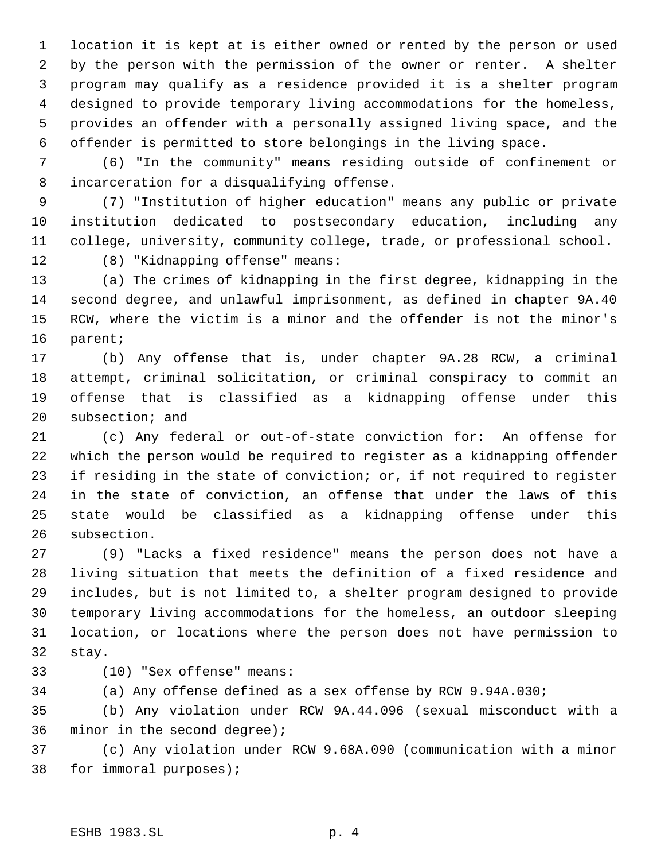location it is kept at is either owned or rented by the person or used by the person with the permission of the owner or renter. A shelter program may qualify as a residence provided it is a shelter program designed to provide temporary living accommodations for the homeless, provides an offender with a personally assigned living space, and the offender is permitted to store belongings in the living space.

 (6) "In the community" means residing outside of confinement or incarceration for a disqualifying offense.

 (7) "Institution of higher education" means any public or private institution dedicated to postsecondary education, including any college, university, community college, trade, or professional school.

(8) "Kidnapping offense" means:

 (a) The crimes of kidnapping in the first degree, kidnapping in the second degree, and unlawful imprisonment, as defined in chapter 9A.40 RCW, where the victim is a minor and the offender is not the minor's parent;

 (b) Any offense that is, under chapter 9A.28 RCW, a criminal attempt, criminal solicitation, or criminal conspiracy to commit an offense that is classified as a kidnapping offense under this subsection; and

 (c) Any federal or out-of-state conviction for: An offense for which the person would be required to register as a kidnapping offender if residing in the state of conviction; or, if not required to register in the state of conviction, an offense that under the laws of this state would be classified as a kidnapping offense under this subsection.

 (9) "Lacks a fixed residence" means the person does not have a living situation that meets the definition of a fixed residence and includes, but is not limited to, a shelter program designed to provide temporary living accommodations for the homeless, an outdoor sleeping location, or locations where the person does not have permission to stay.

(10) "Sex offense" means:

(a) Any offense defined as a sex offense by RCW 9.94A.030;

 (b) Any violation under RCW 9A.44.096 (sexual misconduct with a minor in the second degree);

 (c) Any violation under RCW 9.68A.090 (communication with a minor for immoral purposes);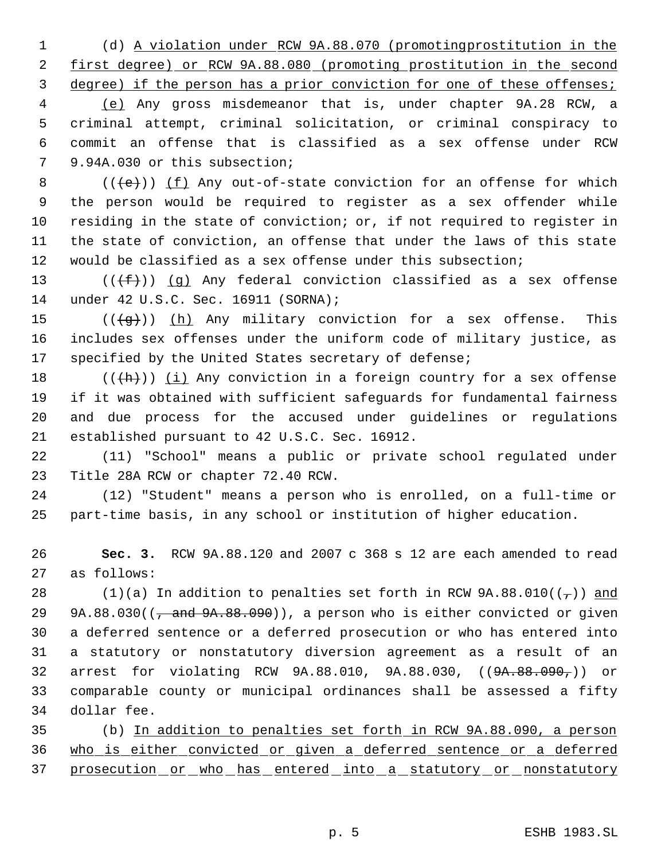(d) A violation under RCW 9A.88.070 (promotingprostitution in the first degree) or RCW 9A.88.080 (promoting prostitution in the second degree) if the person has a prior conviction for one of these offenses;

 (e) Any gross misdemeanor that is, under chapter 9A.28 RCW, a criminal attempt, criminal solicitation, or criminal conspiracy to commit an offense that is classified as a sex offense under RCW 9.94A.030 or this subsection;

8 ( $(\text{+e})$ ) <u>(f)</u> Any out-of-state conviction for an offense for which the person would be required to register as a sex offender while residing in the state of conviction; or, if not required to register in the state of conviction, an offense that under the laws of this state would be classified as a sex offense under this subsection;

13 ( $(\overline{f})$ ) (g) Any federal conviction classified as a sex offense under 42 U.S.C. Sec. 16911 (SORNA);

15  $((\{g\})$   $(h)$  Any military conviction for a sex offense. This includes sex offenses under the uniform code of military justice, as 17 specified by the United States secretary of defense;

 $((+h))$   $(i)$  Any conviction in a foreign country for a sex offense if it was obtained with sufficient safeguards for fundamental fairness and due process for the accused under guidelines or regulations established pursuant to 42 U.S.C. Sec. 16912.

 (11) "School" means a public or private school regulated under Title 28A RCW or chapter 72.40 RCW.

 (12) "Student" means a person who is enrolled, on a full-time or part-time basis, in any school or institution of higher education.

 **Sec. 3.** RCW 9A.88.120 and 2007 c 368 s 12 are each amended to read as follows:

28 (1)(a) In addition to penalties set forth in RCW  $9A.88.010((-))$  and 29 9A.88.030( $\left(\frac{1}{2} \text{ and } 9A.88.090\right)$ ), a person who is either convicted or given a deferred sentence or a deferred prosecution or who has entered into a statutory or nonstatutory diversion agreement as a result of an arrest for violating RCW 9A.88.010, 9A.88.030, ((9A.88.090,)) or comparable county or municipal ordinances shall be assessed a fifty dollar fee.

 (b) In addition to penalties set forth in RCW 9A.88.090, a person who is either convicted or given a deferred sentence or a deferred 37 prosecution or who has entered into a statutory or nonstatutory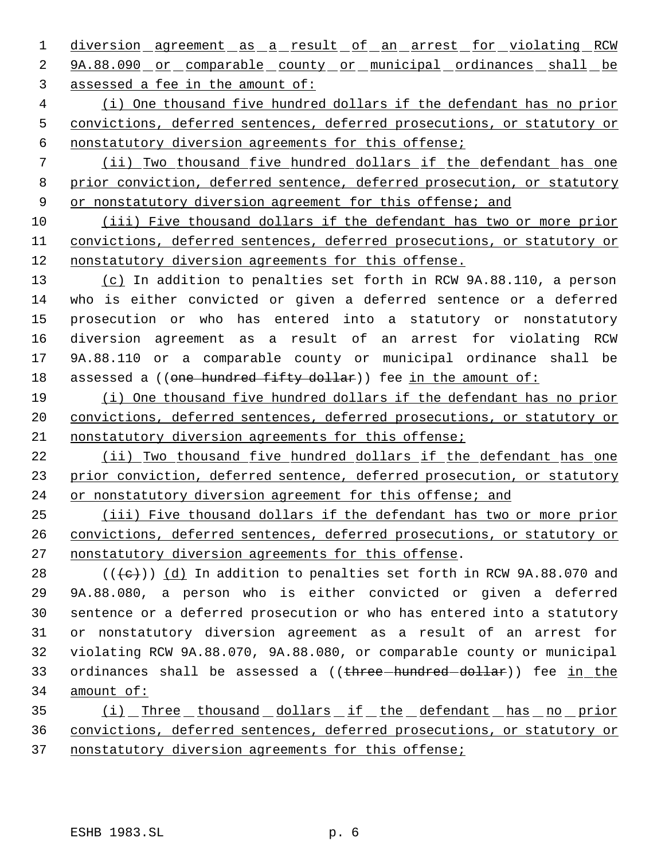1 diversion agreement as a result of an arrest for violating RCW 2 9A.88.090 or comparable county or municipal ordinances shall be assessed a fee in the amount of:

 (i) One thousand five hundred dollars if the defendant has no prior convictions, deferred sentences, deferred prosecutions, or statutory or nonstatutory diversion agreements for this offense;

 (ii) Two thousand five hundred dollars if the defendant has one prior conviction, deferred sentence, deferred prosecution, or statutory 9 or nonstatutory diversion agreement for this offense; and

 (iii) Five thousand dollars if the defendant has two or more prior convictions, deferred sentences, deferred prosecutions, or statutory or nonstatutory diversion agreements for this offense.

 (c) In addition to penalties set forth in RCW 9A.88.110, a person who is either convicted or given a deferred sentence or a deferred prosecution or who has entered into a statutory or nonstatutory diversion agreement as a result of an arrest for violating RCW 9A.88.110 or a comparable county or municipal ordinance shall be 18 assessed a ((one hundred fifty dollar)) fee in the amount of:

 (i) One thousand five hundred dollars if the defendant has no prior convictions, deferred sentences, deferred prosecutions, or statutory or nonstatutory diversion agreements for this offense;

 (ii) Two thousand five hundred dollars if the defendant has one 23 prior conviction, deferred sentence, deferred prosecution, or statutory or nonstatutory diversion agreement for this offense; and

 (iii) Five thousand dollars if the defendant has two or more prior convictions, deferred sentences, deferred prosecutions, or statutory or nonstatutory diversion agreements for this offense.

28 ( $(\overline{\left\langle e\right\rangle})$ )  $\underline{\left\langle d\right\rangle}$  In addition to penalties set forth in RCW 9A.88.070 and 9A.88.080, a person who is either convicted or given a deferred sentence or a deferred prosecution or who has entered into a statutory or nonstatutory diversion agreement as a result of an arrest for violating RCW 9A.88.070, 9A.88.080, or comparable county or municipal 33 ordinances shall be assessed a ((three-hundred-dollar)) fee in the amount of:

35 (i) Three thousand dollars if the defendant has no prior convictions, deferred sentences, deferred prosecutions, or statutory or nonstatutory diversion agreements for this offense;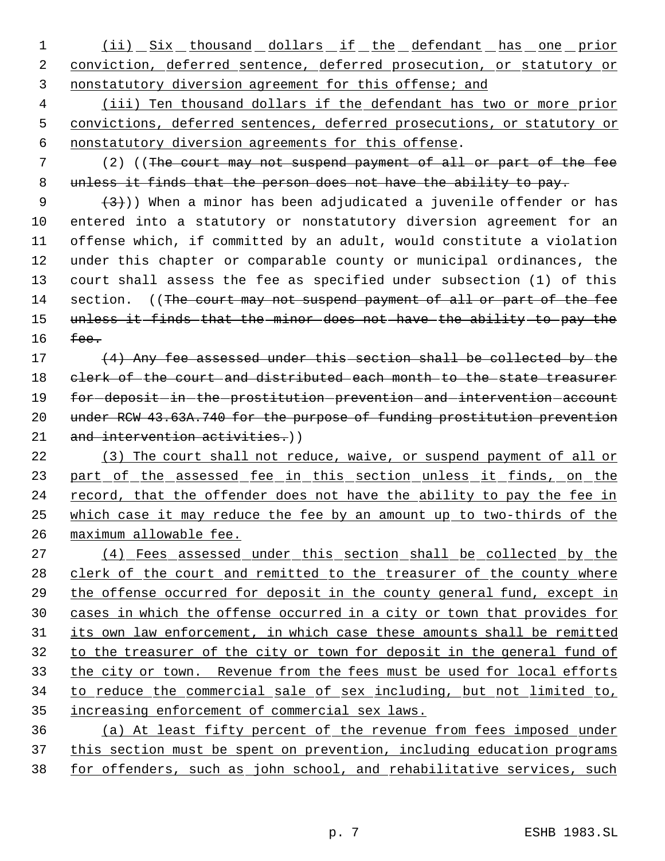1 (ii) Six thousand dollars if the defendant has one prior 2 conviction, deferred sentence, deferred prosecution, or statutory or 3 nonstatutory diversion agreement for this offense; and

 4 (iii) Ten thousand dollars if the defendant has two or more prior 5 convictions, deferred sentences, deferred prosecutions, or statutory or 6 nonstatutory diversion agreements for this offense.

 7 (2) ((The court may not suspend payment of all or part of the fee 8 unless it finds that the person does not have the ability to pay.

 $(3)$ )) When a minor has been adjudicated a juvenile offender or has entered into a statutory or nonstatutory diversion agreement for an offense which, if committed by an adult, would constitute a violation under this chapter or comparable county or municipal ordinances, the court shall assess the fee as specified under subsection (1) of this 14 section. ((The court may not suspend payment of all or part of the fee unless it finds that the minor does not have the ability to pay the 16 fee.

17 (4) Any fee assessed under this section shall be collected by the 18 clerk of the court and distributed each month to the state treasurer 19 for deposit in the prostitution prevention and intervention account 20 under RCW 43.63A.740 for the purpose of funding prostitution prevention 21 and intervention activities.))

22 (3) The court shall not reduce, waive, or suspend payment of all or 23 part of the assessed fee in this section unless it finds, on the 24 record, that the offender does not have the ability to pay the fee in 25 which case it may reduce the fee by an amount up to two-thirds of the 26 maximum allowable fee.

 (4) Fees assessed under this section shall be collected by the 28 clerk of the court and remitted to the treasurer of the county where the offense occurred for deposit in the county general fund, except in cases in which the offense occurred in a city or town that provides for 31 its own law enforcement, in which case these amounts shall be remitted to the treasurer of the city or town for deposit in the general fund of 33 the city or town. Revenue from the fees must be used for local efforts to reduce the commercial sale of sex including, but not limited to, increasing enforcement of commercial sex laws.

36 (a) At least fifty percent of the revenue from fees imposed under 37 this section must be spent on prevention, including education programs 38 for offenders, such as john school, and rehabilitative services, such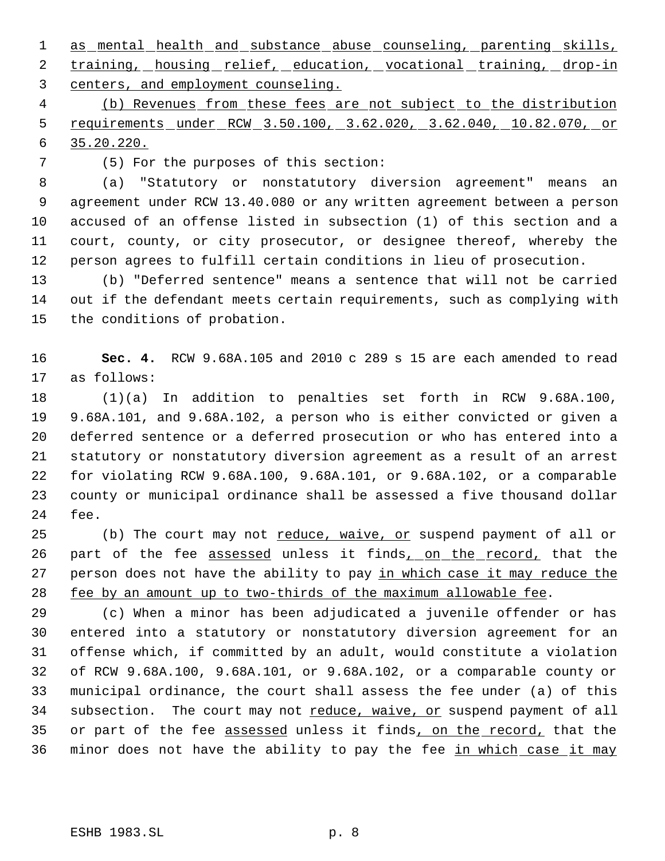1 as mental health and substance abuse counseling, parenting skills, 2 training, housing relief, education, vocational training, drop-in centers, and employment counseling.

 (b) Revenues from these fees are not subject to the distribution requirements under RCW 3.50.100, 3.62.020, 3.62.040, 10.82.070, or 35.20.220.

(5) For the purposes of this section:

 (a) "Statutory or nonstatutory diversion agreement" means an agreement under RCW 13.40.080 or any written agreement between a person accused of an offense listed in subsection (1) of this section and a court, county, or city prosecutor, or designee thereof, whereby the person agrees to fulfill certain conditions in lieu of prosecution.

 (b) "Deferred sentence" means a sentence that will not be carried out if the defendant meets certain requirements, such as complying with the conditions of probation.

 **Sec. 4.** RCW 9.68A.105 and 2010 c 289 s 15 are each amended to read as follows:

 (1)(a) In addition to penalties set forth in RCW 9.68A.100, 9.68A.101, and 9.68A.102, a person who is either convicted or given a deferred sentence or a deferred prosecution or who has entered into a statutory or nonstatutory diversion agreement as a result of an arrest for violating RCW 9.68A.100, 9.68A.101, or 9.68A.102, or a comparable county or municipal ordinance shall be assessed a five thousand dollar fee.

25 (b) The court may not reduce, waive, or suspend payment of all or 26 part of the fee assessed unless it finds, on the record, that the 27 person does not have the ability to pay in which case it may reduce the fee by an amount up to two-thirds of the maximum allowable fee.

 (c) When a minor has been adjudicated a juvenile offender or has entered into a statutory or nonstatutory diversion agreement for an offense which, if committed by an adult, would constitute a violation of RCW 9.68A.100, 9.68A.101, or 9.68A.102, or a comparable county or municipal ordinance, the court shall assess the fee under (a) of this 34 subsection. The court may not reduce, waive, or suspend payment of all 35 or part of the fee assessed unless it finds, on the record, that the 36 minor does not have the ability to pay the fee in which case it may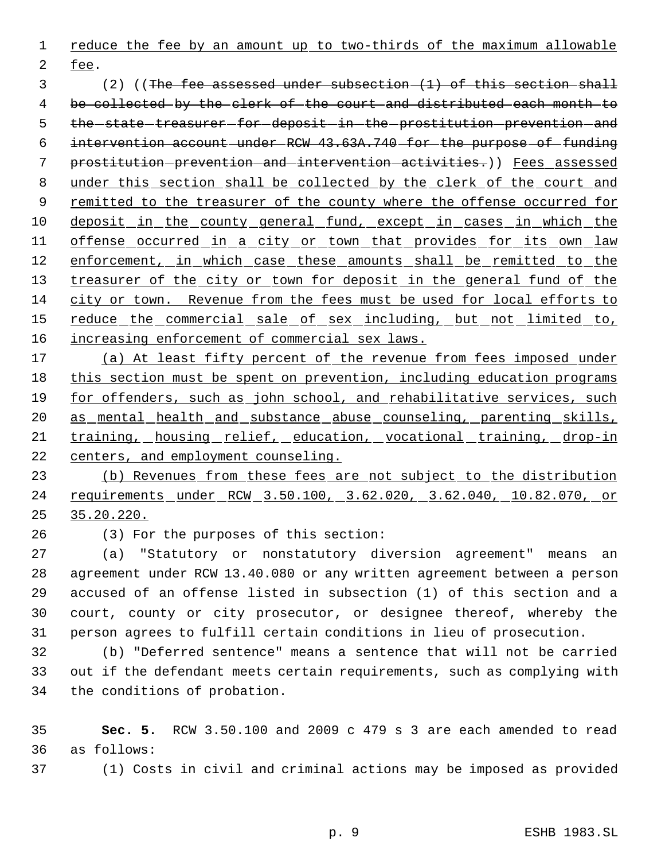reduce the fee by an amount up to two-thirds of the maximum allowable

fee.

 (2) ((The fee assessed under subsection (1) of this section shall be collected by the clerk of the court and distributed each month to 5 the state treasurer for deposit in the prostitution prevention and intervention account under RCW 43.63A.740 for the purpose of funding prostitution prevention and intervention activities.)) Fees assessed under this section shall be collected by the clerk of the court and 9 remitted to the treasurer of the county where the offense occurred for 10 deposit in the county general fund, except in cases in which the 11 offense occurred in a city or town that provides for its own law 12 enforcement, in which case these amounts shall be remitted to the 13 treasurer of the city or town for deposit in the general fund of the city or town. Revenue from the fees must be used for local efforts to 15 reduce the commercial sale of sex including, but not limited to, 16 increasing enforcement of commercial sex laws.

17 (a) At least fifty percent of the revenue from fees imposed under this section must be spent on prevention, including education programs for offenders, such as john school, and rehabilitative services, such as mental health and substance abuse counseling, parenting skills, training, housing relief, education, vocational training, drop-in centers, and employment counseling.

 (b) Revenues from these fees are not subject to the distribution requirements under RCW 3.50.100, 3.62.020, 3.62.040, 10.82.070, or 35.20.220.

(3) For the purposes of this section:

 (a) "Statutory or nonstatutory diversion agreement" means an agreement under RCW 13.40.080 or any written agreement between a person accused of an offense listed in subsection (1) of this section and a court, county or city prosecutor, or designee thereof, whereby the person agrees to fulfill certain conditions in lieu of prosecution.

 (b) "Deferred sentence" means a sentence that will not be carried out if the defendant meets certain requirements, such as complying with the conditions of probation.

 **Sec. 5.** RCW 3.50.100 and 2009 c 479 s 3 are each amended to read as follows:

(1) Costs in civil and criminal actions may be imposed as provided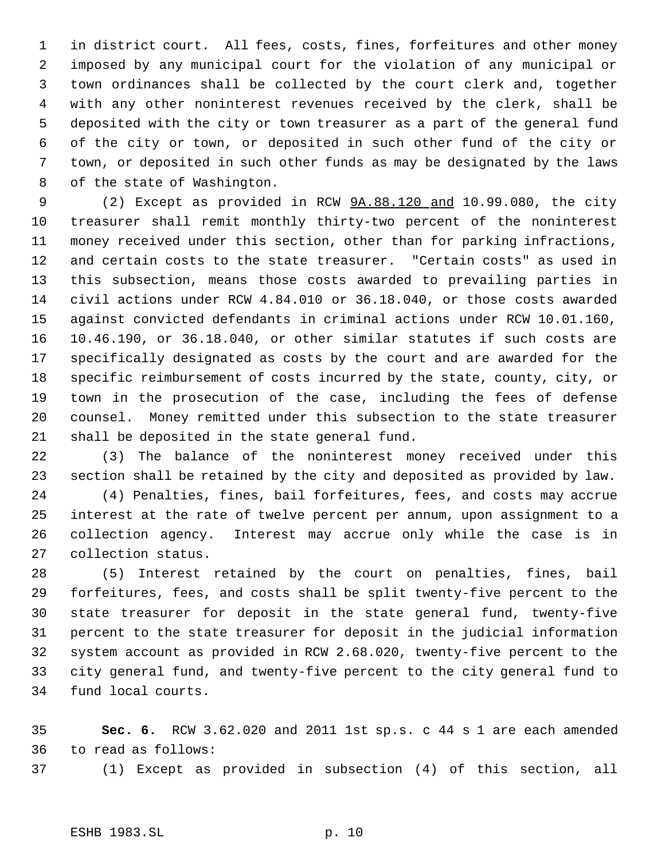in district court. All fees, costs, fines, forfeitures and other money imposed by any municipal court for the violation of any municipal or town ordinances shall be collected by the court clerk and, together with any other noninterest revenues received by the clerk, shall be deposited with the city or town treasurer as a part of the general fund of the city or town, or deposited in such other fund of the city or town, or deposited in such other funds as may be designated by the laws of the state of Washington.

 (2) Except as provided in RCW 9A.88.120 and 10.99.080, the city treasurer shall remit monthly thirty-two percent of the noninterest money received under this section, other than for parking infractions, and certain costs to the state treasurer. "Certain costs" as used in this subsection, means those costs awarded to prevailing parties in civil actions under RCW 4.84.010 or 36.18.040, or those costs awarded against convicted defendants in criminal actions under RCW 10.01.160, 10.46.190, or 36.18.040, or other similar statutes if such costs are specifically designated as costs by the court and are awarded for the specific reimbursement of costs incurred by the state, county, city, or town in the prosecution of the case, including the fees of defense counsel. Money remitted under this subsection to the state treasurer shall be deposited in the state general fund.

 (3) The balance of the noninterest money received under this section shall be retained by the city and deposited as provided by law.

 (4) Penalties, fines, bail forfeitures, fees, and costs may accrue interest at the rate of twelve percent per annum, upon assignment to a collection agency. Interest may accrue only while the case is in collection status.

 (5) Interest retained by the court on penalties, fines, bail forfeitures, fees, and costs shall be split twenty-five percent to the state treasurer for deposit in the state general fund, twenty-five percent to the state treasurer for deposit in the judicial information system account as provided in RCW 2.68.020, twenty-five percent to the city general fund, and twenty-five percent to the city general fund to fund local courts.

 **Sec. 6.** RCW 3.62.020 and 2011 1st sp.s. c 44 s 1 are each amended to read as follows:

(1) Except as provided in subsection (4) of this section, all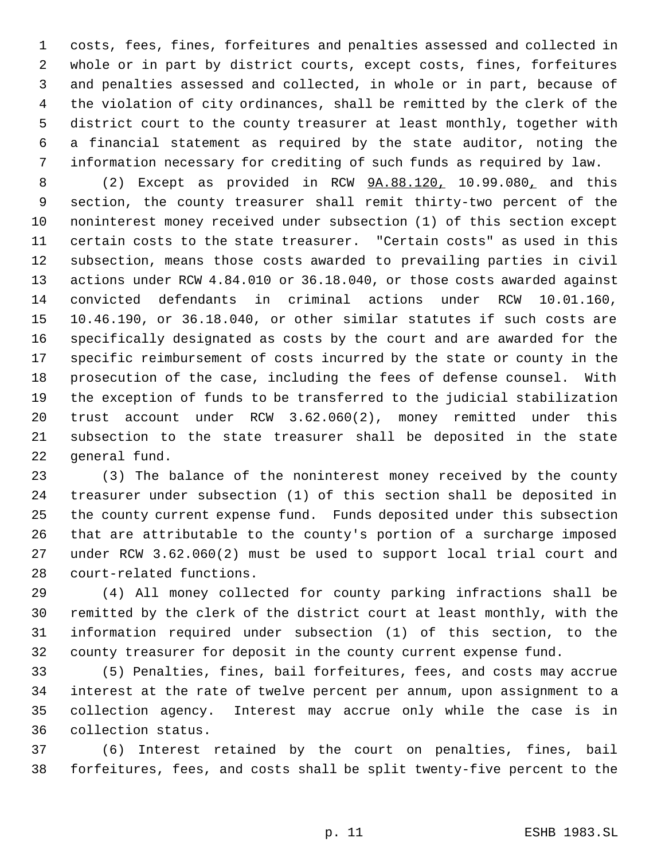costs, fees, fines, forfeitures and penalties assessed and collected in whole or in part by district courts, except costs, fines, forfeitures and penalties assessed and collected, in whole or in part, because of the violation of city ordinances, shall be remitted by the clerk of the district court to the county treasurer at least monthly, together with a financial statement as required by the state auditor, noting the information necessary for crediting of such funds as required by law.

 (2) Except as provided in RCW 9A.88.120, 10.99.080, and this section, the county treasurer shall remit thirty-two percent of the noninterest money received under subsection (1) of this section except certain costs to the state treasurer. "Certain costs" as used in this subsection, means those costs awarded to prevailing parties in civil actions under RCW 4.84.010 or 36.18.040, or those costs awarded against convicted defendants in criminal actions under RCW 10.01.160, 10.46.190, or 36.18.040, or other similar statutes if such costs are specifically designated as costs by the court and are awarded for the specific reimbursement of costs incurred by the state or county in the prosecution of the case, including the fees of defense counsel. With the exception of funds to be transferred to the judicial stabilization trust account under RCW 3.62.060(2), money remitted under this subsection to the state treasurer shall be deposited in the state general fund.

 (3) The balance of the noninterest money received by the county treasurer under subsection (1) of this section shall be deposited in the county current expense fund. Funds deposited under this subsection that are attributable to the county's portion of a surcharge imposed under RCW 3.62.060(2) must be used to support local trial court and court-related functions.

 (4) All money collected for county parking infractions shall be remitted by the clerk of the district court at least monthly, with the information required under subsection (1) of this section, to the county treasurer for deposit in the county current expense fund.

 (5) Penalties, fines, bail forfeitures, fees, and costs may accrue interest at the rate of twelve percent per annum, upon assignment to a collection agency. Interest may accrue only while the case is in collection status.

 (6) Interest retained by the court on penalties, fines, bail forfeitures, fees, and costs shall be split twenty-five percent to the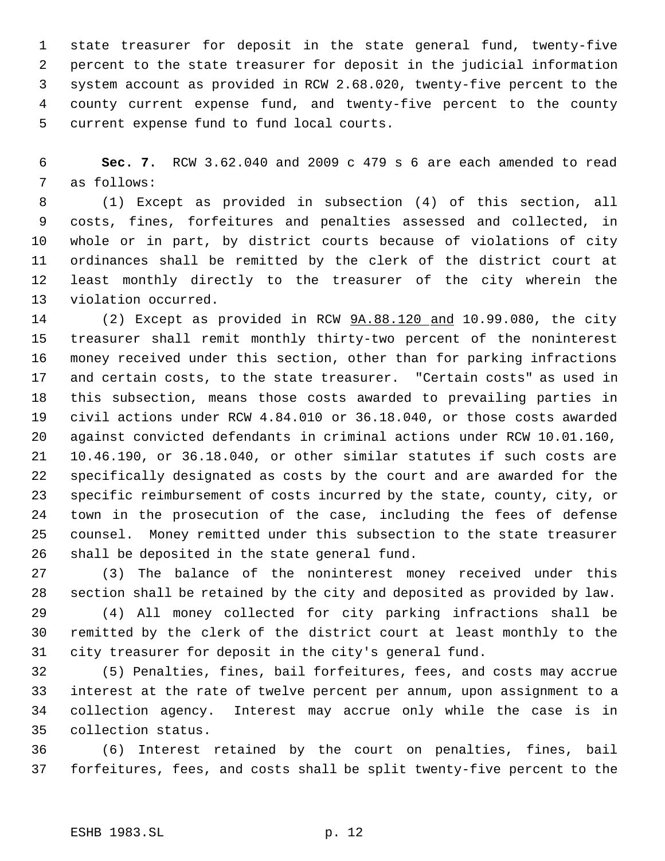state treasurer for deposit in the state general fund, twenty-five percent to the state treasurer for deposit in the judicial information system account as provided in RCW 2.68.020, twenty-five percent to the county current expense fund, and twenty-five percent to the county current expense fund to fund local courts.

 **Sec. 7.** RCW 3.62.040 and 2009 c 479 s 6 are each amended to read as follows:

 (1) Except as provided in subsection (4) of this section, all costs, fines, forfeitures and penalties assessed and collected, in whole or in part, by district courts because of violations of city ordinances shall be remitted by the clerk of the district court at least monthly directly to the treasurer of the city wherein the violation occurred.

 (2) Except as provided in RCW 9A.88.120 and 10.99.080, the city treasurer shall remit monthly thirty-two percent of the noninterest money received under this section, other than for parking infractions and certain costs, to the state treasurer. "Certain costs" as used in this subsection, means those costs awarded to prevailing parties in civil actions under RCW 4.84.010 or 36.18.040, or those costs awarded against convicted defendants in criminal actions under RCW 10.01.160, 10.46.190, or 36.18.040, or other similar statutes if such costs are specifically designated as costs by the court and are awarded for the specific reimbursement of costs incurred by the state, county, city, or town in the prosecution of the case, including the fees of defense counsel. Money remitted under this subsection to the state treasurer shall be deposited in the state general fund.

 (3) The balance of the noninterest money received under this section shall be retained by the city and deposited as provided by law.

 (4) All money collected for city parking infractions shall be remitted by the clerk of the district court at least monthly to the city treasurer for deposit in the city's general fund.

 (5) Penalties, fines, bail forfeitures, fees, and costs may accrue interest at the rate of twelve percent per annum, upon assignment to a collection agency. Interest may accrue only while the case is in collection status.

 (6) Interest retained by the court on penalties, fines, bail forfeitures, fees, and costs shall be split twenty-five percent to the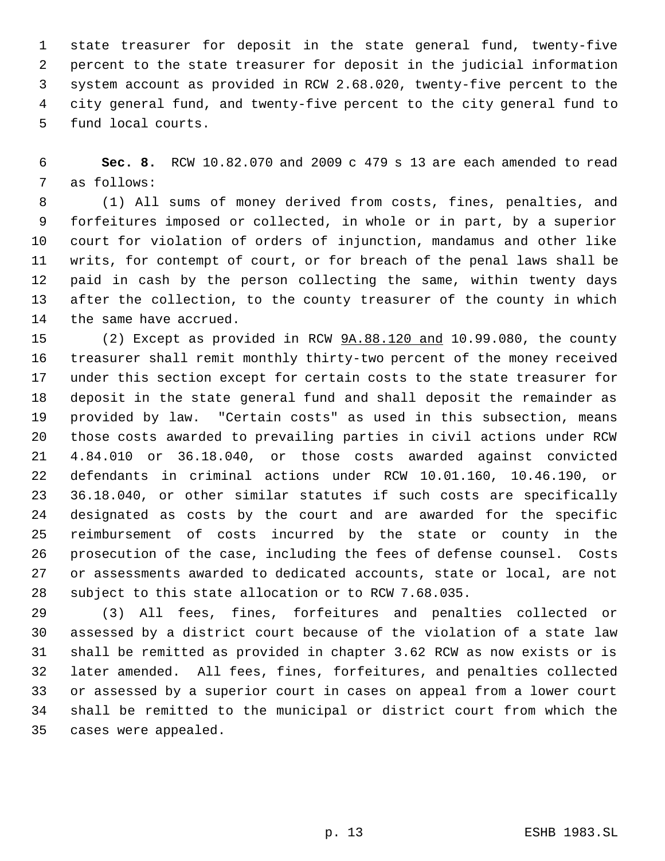state treasurer for deposit in the state general fund, twenty-five percent to the state treasurer for deposit in the judicial information system account as provided in RCW 2.68.020, twenty-five percent to the city general fund, and twenty-five percent to the city general fund to fund local courts.

 **Sec. 8.** RCW 10.82.070 and 2009 c 479 s 13 are each amended to read as follows:

 (1) All sums of money derived from costs, fines, penalties, and forfeitures imposed or collected, in whole or in part, by a superior court for violation of orders of injunction, mandamus and other like writs, for contempt of court, or for breach of the penal laws shall be paid in cash by the person collecting the same, within twenty days after the collection, to the county treasurer of the county in which the same have accrued.

 (2) Except as provided in RCW 9A.88.120 and 10.99.080, the county treasurer shall remit monthly thirty-two percent of the money received under this section except for certain costs to the state treasurer for deposit in the state general fund and shall deposit the remainder as provided by law. "Certain costs" as used in this subsection, means those costs awarded to prevailing parties in civil actions under RCW 4.84.010 or 36.18.040, or those costs awarded against convicted defendants in criminal actions under RCW 10.01.160, 10.46.190, or 36.18.040, or other similar statutes if such costs are specifically designated as costs by the court and are awarded for the specific reimbursement of costs incurred by the state or county in the prosecution of the case, including the fees of defense counsel. Costs or assessments awarded to dedicated accounts, state or local, are not subject to this state allocation or to RCW 7.68.035.

 (3) All fees, fines, forfeitures and penalties collected or assessed by a district court because of the violation of a state law shall be remitted as provided in chapter 3.62 RCW as now exists or is later amended. All fees, fines, forfeitures, and penalties collected or assessed by a superior court in cases on appeal from a lower court shall be remitted to the municipal or district court from which the cases were appealed.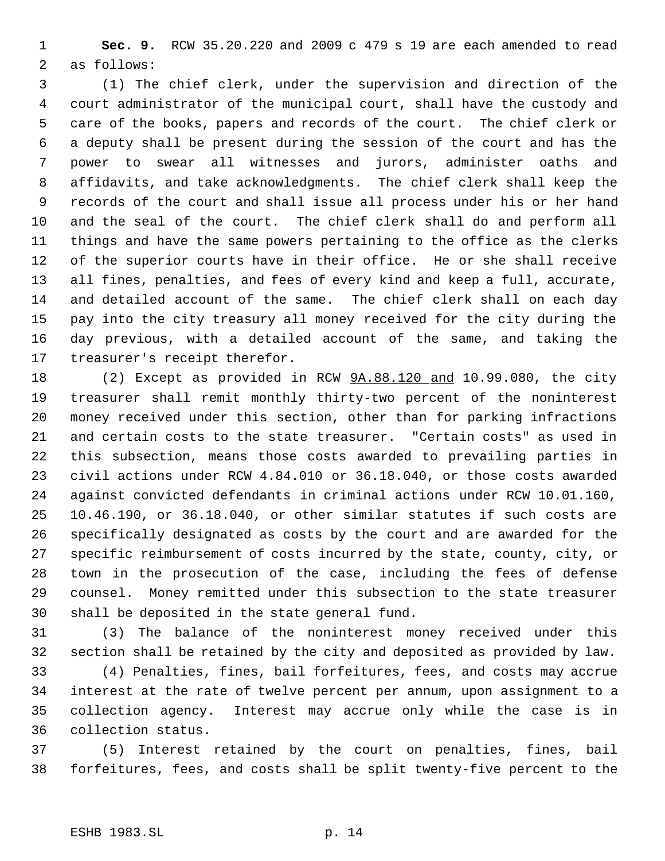**Sec. 9.** RCW 35.20.220 and 2009 c 479 s 19 are each amended to read as follows:

 (1) The chief clerk, under the supervision and direction of the court administrator of the municipal court, shall have the custody and care of the books, papers and records of the court. The chief clerk or a deputy shall be present during the session of the court and has the power to swear all witnesses and jurors, administer oaths and affidavits, and take acknowledgments. The chief clerk shall keep the records of the court and shall issue all process under his or her hand and the seal of the court. The chief clerk shall do and perform all things and have the same powers pertaining to the office as the clerks of the superior courts have in their office. He or she shall receive all fines, penalties, and fees of every kind and keep a full, accurate, and detailed account of the same. The chief clerk shall on each day pay into the city treasury all money received for the city during the day previous, with a detailed account of the same, and taking the treasurer's receipt therefor.

18 (2) Except as provided in RCW  $9A.88.120$  and 10.99.080, the city treasurer shall remit monthly thirty-two percent of the noninterest money received under this section, other than for parking infractions and certain costs to the state treasurer. "Certain costs" as used in this subsection, means those costs awarded to prevailing parties in civil actions under RCW 4.84.010 or 36.18.040, or those costs awarded against convicted defendants in criminal actions under RCW 10.01.160, 10.46.190, or 36.18.040, or other similar statutes if such costs are specifically designated as costs by the court and are awarded for the specific reimbursement of costs incurred by the state, county, city, or town in the prosecution of the case, including the fees of defense counsel. Money remitted under this subsection to the state treasurer shall be deposited in the state general fund.

 (3) The balance of the noninterest money received under this section shall be retained by the city and deposited as provided by law.

 (4) Penalties, fines, bail forfeitures, fees, and costs may accrue interest at the rate of twelve percent per annum, upon assignment to a collection agency. Interest may accrue only while the case is in collection status.

 (5) Interest retained by the court on penalties, fines, bail forfeitures, fees, and costs shall be split twenty-five percent to the